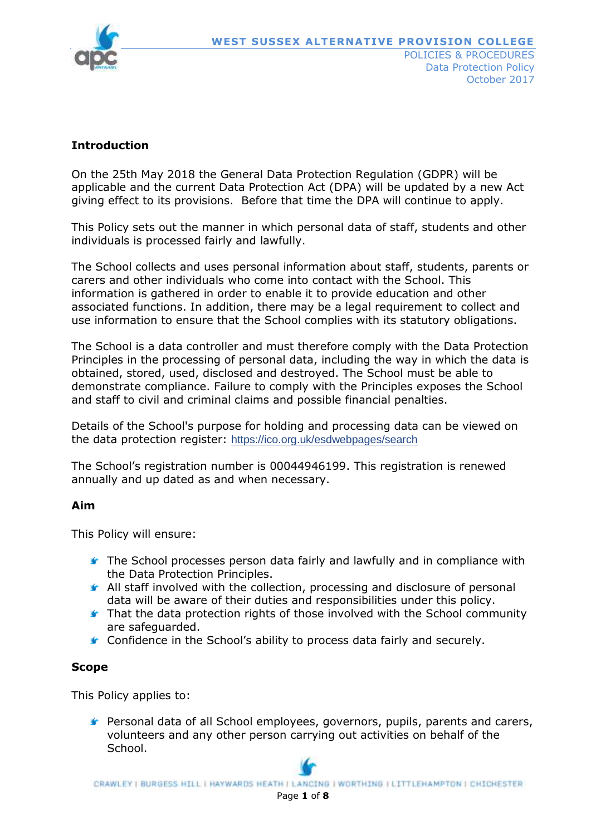

## **Introduction**

On the 25th May 2018 the General Data Protection Regulation (GDPR) will be applicable and the current Data Protection Act (DPA) will be updated by a new Act giving effect to its provisions. Before that time the DPA will continue to apply.

This Policy sets out the manner in which personal data of staff, students and other individuals is processed fairly and lawfully.

The School collects and uses personal information about staff, students, parents or carers and other individuals who come into contact with the School. This information is gathered in order to enable it to provide education and other associated functions. In addition, there may be a legal requirement to collect and use information to ensure that the School complies with its statutory obligations.

The School is a data controller and must therefore comply with the Data Protection Principles in the processing of personal data, including the way in which the data is obtained, stored, used, disclosed and destroyed. The School must be able to demonstrate compliance. Failure to comply with the Principles exposes the School and staff to civil and criminal claims and possible financial penalties.

Details of the School's purpose for holding and processing data can be viewed on the data protection register: <https://ico.org.uk/esdwebpages/search>

The School's registration number is 00044946199. This registration is renewed annually and up dated as and when necessary.

#### **Aim**

This Policy will ensure:

- **The School processes person data fairly and lawfully and in compliance with** the Data Protection Principles.
- All staff involved with the collection, processing and disclosure of personal data will be aware of their duties and responsibilities under this policy.
- **That the data protection rights of those involved with the School community** are safeguarded.
- **★** Confidence in the School's ability to process data fairly and securely.

#### **Scope**

This Policy applies to:

Personal data of all School employees, governors, pupils, parents and carers, volunteers and any other person carrying out activities on behalf of the School.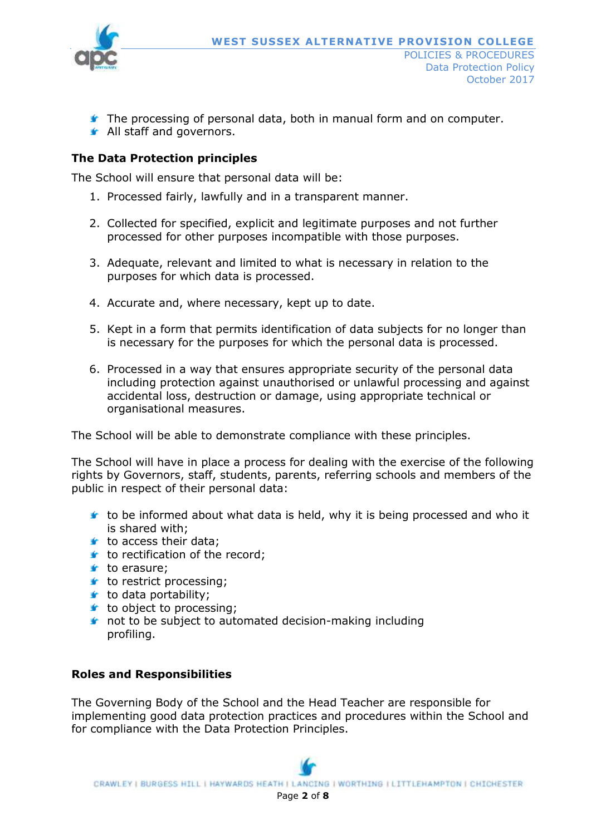

- The processing of personal data, both in manual form and on computer.
- **All staff and governors.**

# **The Data Protection principles**

The School will ensure that personal data will be:

- 1. Processed fairly, lawfully and in a transparent manner.
- 2. Collected for specified, explicit and legitimate purposes and not further processed for other purposes incompatible with those purposes.
- 3. Adequate, relevant and limited to what is necessary in relation to the purposes for which data is processed.
- 4. Accurate and, where necessary, kept up to date.
- 5. Kept in a form that permits identification of data subjects for no longer than is necessary for the purposes for which the personal data is processed.
- 6. Processed in a way that ensures appropriate security of the personal data including protection against unauthorised or unlawful processing and against accidental loss, destruction or damage, using appropriate technical or organisational measures.

The School will be able to demonstrate compliance with these principles.

The School will have in place a process for dealing with the exercise of the following rights by Governors, staff, students, parents, referring schools and members of the public in respect of their personal data:

- $\bullet$  to be informed about what data is held, why it is being processed and who it is shared with;
- $t$  to access their data;
- $\bullet$  to rectification of the record;
- $\mathbf t$  to erasure;
- $t$  to restrict processing;
- $t$  to data portability;
- $t$  to object to processing;
- **t** not to be subject to automated decision-making including profiling.

# **Roles and Responsibilities**

The Governing Body of the School and the Head Teacher are responsible for implementing good data protection practices and procedures within the School and for compliance with the Data Protection Principles.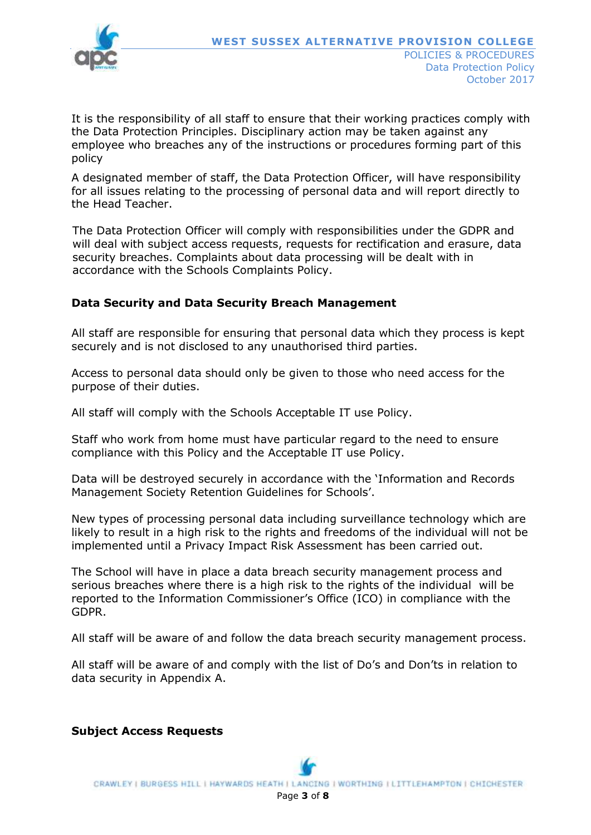

It is the responsibility of all staff to ensure that their working practices comply with the Data Protection Principles. Disciplinary action may be taken against any employee who breaches any of the instructions or procedures forming part of this policy

A designated member of staff, the Data Protection Officer, will have responsibility for all issues relating to the processing of personal data and will report directly to the Head Teacher.

The Data Protection Officer will comply with responsibilities under the GDPR and will deal with subject access requests, requests for rectification and erasure, data security breaches. Complaints about data processing will be dealt with in accordance with the Schools Complaints Policy.

### **Data Security and Data Security Breach Management**

All staff are responsible for ensuring that personal data which they process is kept securely and is not disclosed to any unauthorised third parties.

Access to personal data should only be given to those who need access for the purpose of their duties.

All staff will comply with the Schools Acceptable IT use Policy.

Staff who work from home must have particular regard to the need to ensure compliance with this Policy and the Acceptable IT use Policy.

Data will be destroyed securely in accordance with the 'Information and Records Management Society Retention Guidelines for Schools'.

New types of processing personal data including surveillance technology which are likely to result in a high risk to the rights and freedoms of the individual will not be implemented until a Privacy Impact Risk Assessment has been carried out.

The School will have in place a data breach security management process and serious breaches where there is a high risk to the rights of the individual will be reported to the Information Commissioner's Office (ICO) in compliance with the GDPR.

All staff will be aware of and follow the data breach security management process.

All staff will be aware of and comply with the list of Do's and Don'ts in relation to data security in Appendix A.

**Subject Access Requests**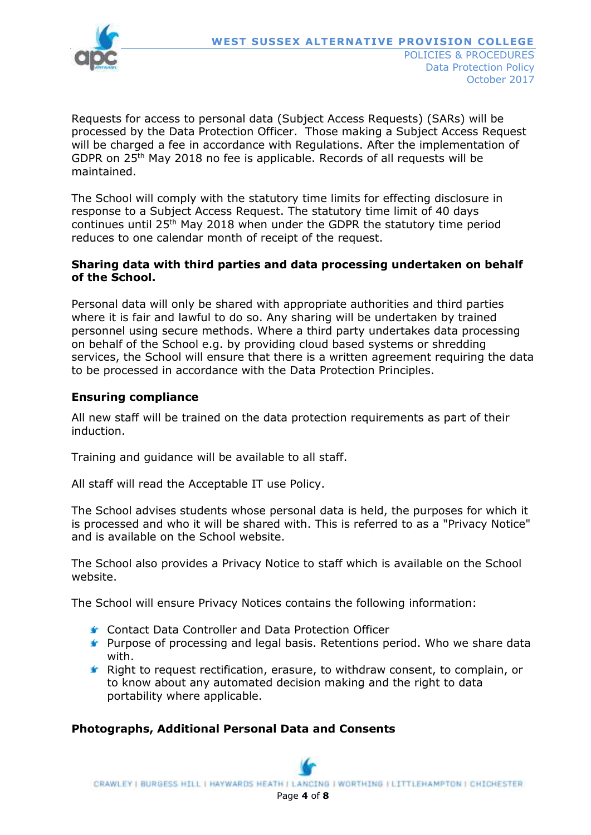

Requests for access to personal data (Subject Access Requests) (SARs) will be processed by the Data Protection Officer. Those making a Subject Access Request will be charged a fee in accordance with Regulations. After the implementation of GDPR on 25th May 2018 no fee is applicable. Records of all requests will be maintained.

The School will comply with the statutory time limits for effecting disclosure in response to a Subject Access Request. The statutory time limit of 40 days continues until 25th May 2018 when under the GDPR the statutory time period reduces to one calendar month of receipt of the request.

### **Sharing data with third parties and data processing undertaken on behalf of the School.**

Personal data will only be shared with appropriate authorities and third parties where it is fair and lawful to do so. Any sharing will be undertaken by trained personnel using secure methods. Where a third party undertakes data processing on behalf of the School e.g. by providing cloud based systems or shredding services, the School will ensure that there is a written agreement requiring the data to be processed in accordance with the Data Protection Principles.

## **Ensuring compliance**

All new staff will be trained on the data protection requirements as part of their induction.

Training and guidance will be available to all staff.

All staff will read the Acceptable IT use Policy.

The School advises students whose personal data is held, the purposes for which it is processed and who it will be shared with. This is referred to as a "Privacy Notice" and is available on the School website.

The School also provides a Privacy Notice to staff which is available on the School website.

The School will ensure Privacy Notices contains the following information:

- Contact Data Controller and Data Protection Officer
- **F** Purpose of processing and legal basis. Retentions period. Who we share data with.
- Right to request rectification, erasure, to withdraw consent, to complain, or to know about any automated decision making and the right to data portability where applicable.

### **Photographs, Additional Personal Data and Consents**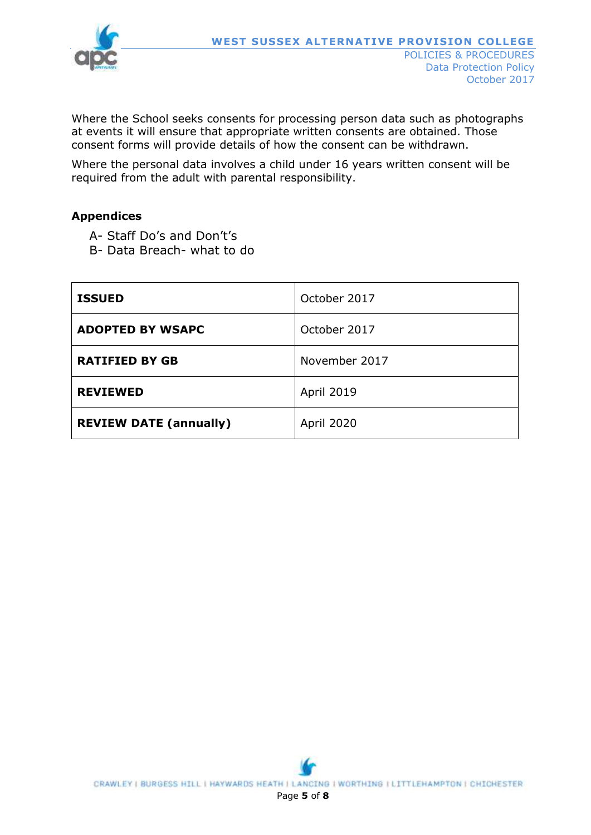

Where the School seeks consents for processing person data such as photographs at events it will ensure that appropriate written consents are obtained. Those consent forms will provide details of how the consent can be withdrawn.

Where the personal data involves a child under 16 years written consent will be required from the adult with parental responsibility.

### **Appendices**

- A- Staff Do's and Don't's
- B- Data Breach- what to do

| <b>ISSUED</b>                 | October 2017      |
|-------------------------------|-------------------|
| <b>ADOPTED BY WSAPC</b>       | October 2017      |
| <b>RATIFIED BY GB</b>         | November 2017     |
| <b>REVIEWED</b>               | <b>April 2019</b> |
| <b>REVIEW DATE (annually)</b> | April 2020        |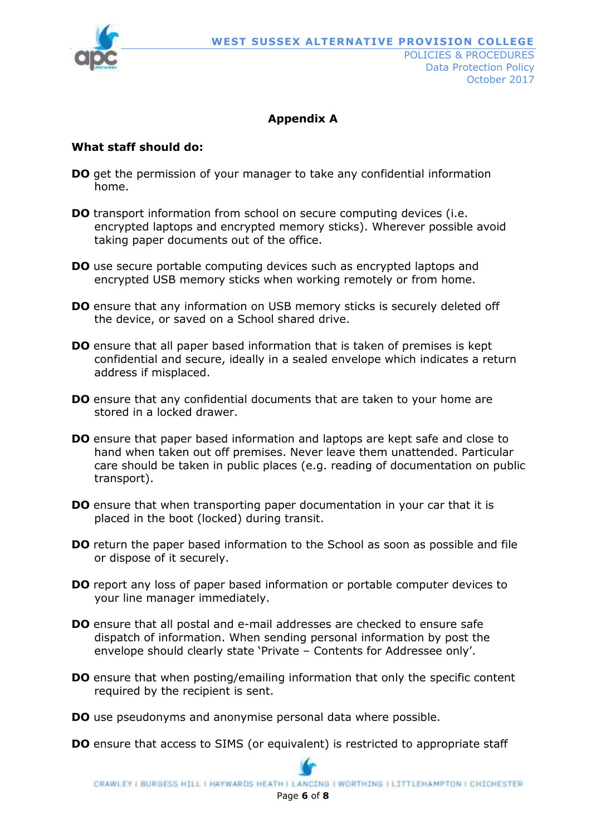

# **Appendix A**

## **What staff should do:**

- **DO** get the permission of your manager to take any confidential information home.
- **DO** transport information from school on secure computing devices (i.e. encrypted laptops and encrypted memory sticks). Wherever possible avoid taking paper documents out of the office.
- **DO** use secure portable computing devices such as encrypted laptops and encrypted USB memory sticks when working remotely or from home.
- **DO** ensure that any information on USB memory sticks is securely deleted off the device, or saved on a School shared drive.
- **DO** ensure that all paper based information that is taken of premises is kept confidential and secure, ideally in a sealed envelope which indicates a return address if misplaced.
- **DO** ensure that any confidential documents that are taken to your home are stored in a locked drawer.
- **DO** ensure that paper based information and laptops are kept safe and close to hand when taken out off premises. Never leave them unattended. Particular care should be taken in public places (e.g. reading of documentation on public transport).
- **DO** ensure that when transporting paper documentation in your car that it is placed in the boot (locked) during transit.
- **DO** return the paper based information to the School as soon as possible and file or dispose of it securely.
- **DO** report any loss of paper based information or portable computer devices to your line manager immediately.
- **DO** ensure that all postal and e-mail addresses are checked to ensure safe dispatch of information. When sending personal information by post the envelope should clearly state 'Private – Contents for Addressee only'.
- **DO** ensure that when posting/emailing information that only the specific content required by the recipient is sent.
- **DO** use pseudonyms and anonymise personal data where possible.
- **DO** ensure that access to SIMS (or equivalent) is restricted to appropriate staff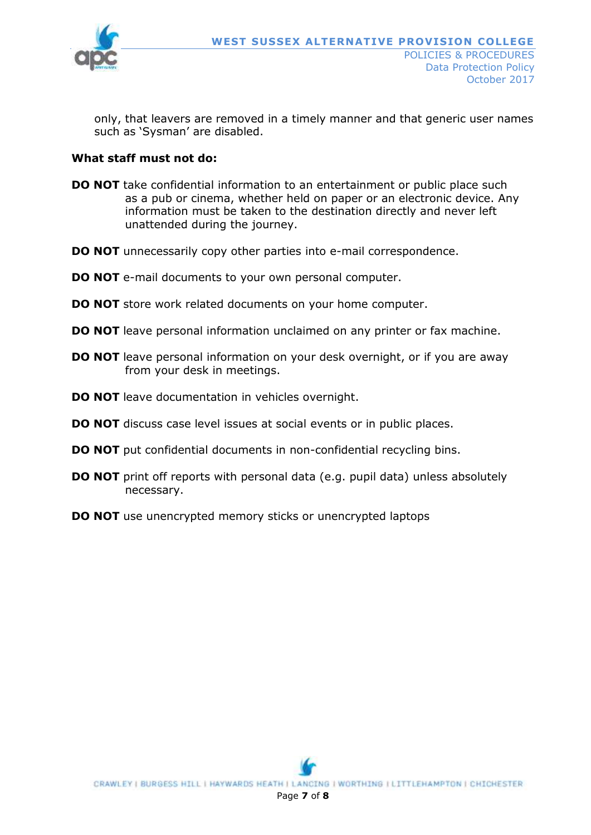

 only, that leavers are removed in a timely manner and that generic user names such as 'Sysman' are disabled.

### **What staff must not do:**

- **DO NOT** take confidential information to an entertainment or public place such as a pub or cinema, whether held on paper or an electronic device. Any information must be taken to the destination directly and never left unattended during the journey.
- **DO NOT** unnecessarily copy other parties into e-mail correspondence.
- **DO NOT** e-mail documents to your own personal computer.
- **DO NOT** store work related documents on your home computer.
- **DO NOT** leave personal information unclaimed on any printer or fax machine.
- **DO NOT** leave personal information on your desk overnight, or if you are away from your desk in meetings.
- **DO NOT** leave documentation in vehicles overnight.
- **DO NOT** discuss case level issues at social events or in public places.
- **DO NOT** put confidential documents in non-confidential recycling bins.
- **DO NOT** print off reports with personal data (e.g. pupil data) unless absolutely necessary.
- **DO NOT** use unencrypted memory sticks or unencrypted laptops